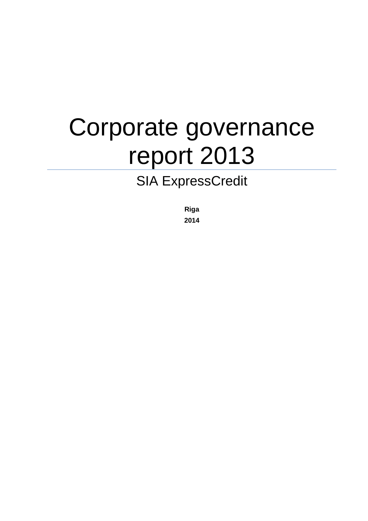# Corporate governance report 2013

# SIA ExpressCredit

**Riga 2014**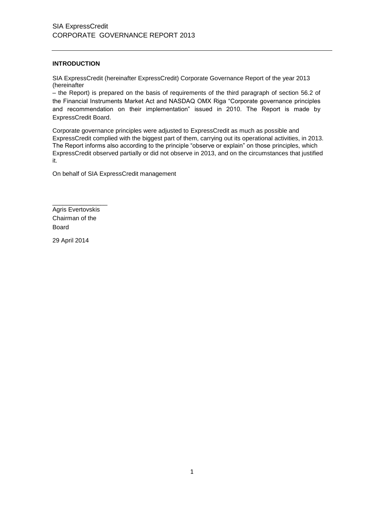# **INTRODUCTION**

SIA ExpressCredit (hereinafter ExpressCredit) Corporate Governance Report of the year 2013 (hereinafter

– the Report) is prepared on the basis of requirements of the third paragraph of section 56.2 of the Financial Instruments Market Act and NASDAQ OMX Riga "Corporate governance principles and recommendation on their implementation" issued in 2010. The Report is made by ExpressCredit Board.

Corporate governance principles were adjusted to ExpressCredit as much as possible and ExpressCredit complied with the biggest part of them, carrying out its operational activities, in 2013. The Report informs also according to the principle "observe or explain" on those principles, which ExpressCredit observed partially or did not observe in 2013, and on the circumstances that justified it.

On behalf of SIA ExpressCredit management

\_\_\_\_\_\_\_\_\_\_\_\_\_\_\_\_ Agris Evertovskis Chairman of the Board

29 April 2014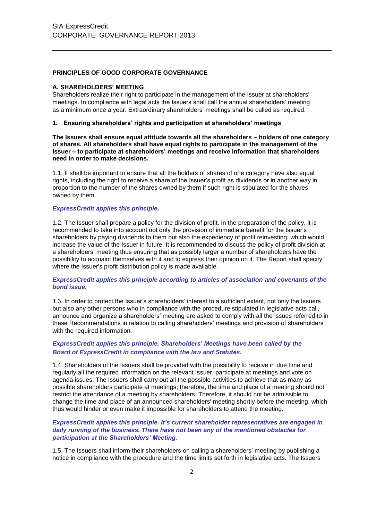# **PRINCIPLES OF GOOD CORPORATE GOVERNANCE**

#### **A. SHAREHOLDERS' MEETING**

Shareholders realize their right to participate in the management of the Issuer at shareholders' meetings. In compliance with legal acts the Issuers shall call the annual shareholders' meeting as a minimum once a year. Extraordinary shareholders' meetings shall be called as required.

#### **1. Ensuring shareholders' rights and participation at shareholders' meetings**

**The Issuers shall ensure equal attitude towards all the shareholders – holders of one category of shares. All shareholders shall have equal rights to participate in the management of the Issuer – to participate at shareholders' meetings and receive information that shareholders need in order to make decisions.**

1.1. It shall be important to ensure that all the holders of shares of one category have also equal rights, including the right to receive a share of the Issuer's profit as dividends or in another way in proportion to the number of the shares owned by them if such right is stipulated for the shares owned by them.

#### *ExpressCredit applies this principle.*

1.2. The Issuer shall prepare a policy for the division of profit. In the preparation of the policy, it is recommended to take into account not only the provision of immediate benefit for the Issuer's shareholders by paying dividends to them but also the expediency of profit reinvesting, which would increase the value of the Issuer in future. It is recommended to discuss the policy of profit division at a shareholders' meeting thus ensuring that as possibly larger a number of shareholders have the possibility to acquaint themselves with it and to express their opinion on it. The Report shall specify where the Issuer's profit distribution policy is made available.

#### *ExpressCredit applies this principle according to articles of association and covenants of the bond issue.*

1.3. In order to protect the Issuer's shareholders' interest to a sufficient extent, not only the Issuers but also any other persons who in compliance with the procedure stipulated in legislative acts call, announce and organize a shareholders' meeting are asked to comply with all the issues referred to in these Recommendations in relation to calling shareholders' meetings and provision of shareholders with the required information.

# *ExpressCredit applies this principle. Shareholders' Meetings have been called by the Board of ExpressCredit in compliance with the law and Statutes.*

1.4. Shareholders of the Issuers shall be provided with the possibility to receive in due time and regularly all the required information on the relevant Issuer, participate at meetings and vote on agenda issues. The Issuers shall carry out all the possible activities to achieve that as many as possible shareholders participate at meetings; therefore, the time and place of a meeting should not restrict the attendance of a meeting by shareholders. Therefore, it should not be admissible to change the time and place of an announced shareholders' meeting shortly before the meeting, which thus would hinder or even make it impossible for shareholders to attend the meeting.

#### *ExpressCredit applies this principle. It's current shareholder representatives are engaged in daily running of the business. There have not been any of the mentioned obstacles for participation at the Shareholders' Meeting.*

1.5. The Issuers shall inform their shareholders on calling a shareholders' meeting by publishing a notice in compliance with the procedure and the time limits set forth in legislative acts. The Issuers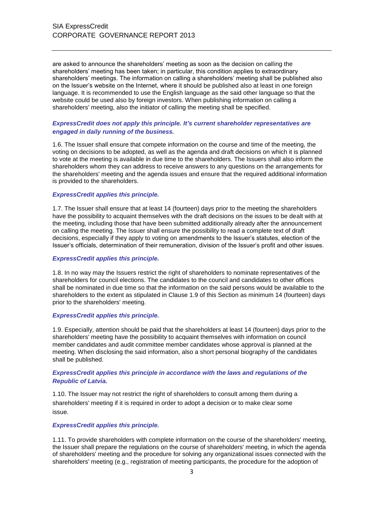are asked to announce the shareholders' meeting as soon as the decision on calling the shareholders' meeting has been taken; in particular, this condition applies to extraordinary shareholders' meetings. The information on calling a shareholders' meeting shall be published also on the Issuer's website on the Internet, where it should be published also at least in one foreign language. It is recommended to use the English language as the said other language so that the website could be used also by foreign investors. When publishing information on calling a shareholders' meeting, also the initiator of calling the meeting shall be specified.

# *ExpressCredit does not apply this principle. It's current shareholder representatives are engaged in daily running of the business.*

1.6. The Issuer shall ensure that compete information on the course and time of the meeting, the voting on decisions to be adopted, as well as the agenda and draft decisions on which it is planned to vote at the meeting is available in due time to the shareholders. The Issuers shall also inform the shareholders whom they can address to receive answers to any questions on the arrangements for the shareholders' meeting and the agenda issues and ensure that the required additional information is provided to the shareholders.

#### *ExpressCredit applies this principle.*

1.7. The Issuer shall ensure that at least 14 (fourteen) days prior to the meeting the shareholders have the possibility to acquaint themselves with the draft decisions on the issues to be dealt with at the meeting, including those that have been submitted additionally already after the announcement on calling the meeting. The Issuer shall ensure the possibility to read a complete text of draft decisions, especially if they apply to voting on amendments to the Issuer's statutes, election of the Issuer's officials, determination of their remuneration, division of the Issuer's profit and other issues.

#### *ExpressCredit applies this principle.*

1.8. In no way may the Issuers restrict the right of shareholders to nominate representatives of the shareholders for council elections. The candidates to the council and candidates to other offices shall be nominated in due time so that the information on the said persons would be available to the shareholders to the extent as stipulated in Clause 1.9 of this Section as minimum 14 (fourteen) days prior to the shareholders' meeting.

#### *ExpressCredit applies this principle.*

1.9. Especially, attention should be paid that the shareholders at least 14 (fourteen) days prior to the shareholders' meeting have the possibility to acquaint themselves with information on council member candidates and audit committee member candidates whose approval is planned at the meeting. When disclosing the said information, also a short personal biography of the candidates shall be published.

# *ExpressCredit applies this principle in accordance with the laws and regulations of the Republic of Latvia.*

1.10. The Issuer may not restrict the right of shareholders to consult among them during a shareholders' meeting if it is required in order to adopt a decision or to make clear some issue.

#### *ExpressCredit applies this principle.*

1.11. To provide shareholders with complete information on the course of the shareholders' meeting, the Issuer shall prepare the regulations on the course of shareholders' meeting, in which the agenda of shareholders' meeting and the procedure for solving any organizational issues connected with the shareholders' meeting (e.g., registration of meeting participants, the procedure for the adoption of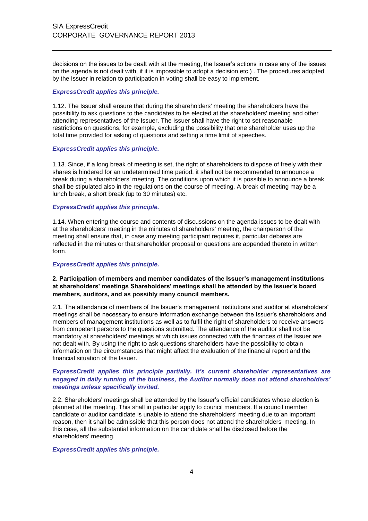decisions on the issues to be dealt with at the meeting, the Issuer's actions in case any of the issues on the agenda is not dealt with, if it is impossible to adopt a decision etc.) . The procedures adopted by the Issuer in relation to participation in voting shall be easy to implement.

#### *ExpressCredit applies this principle.*

1.12. The Issuer shall ensure that during the shareholders' meeting the shareholders have the possibility to ask questions to the candidates to be elected at the shareholders' meeting and other attending representatives of the Issuer. The Issuer shall have the right to set reasonable restrictions on questions, for example, excluding the possibility that one shareholder uses up the total time provided for asking of questions and setting a time limit of speeches.

#### *ExpressCredit applies this principle.*

1.13. Since, if a long break of meeting is set, the right of shareholders to dispose of freely with their shares is hindered for an undetermined time period, it shall not be recommended to announce a break during a shareholders' meeting. The conditions upon which it is possible to announce a break shall be stipulated also in the regulations on the course of meeting. A break of meeting may be a lunch break, a short break (up to 30 minutes) etc.

# *ExpressCredit applies this principle.*

1.14. When entering the course and contents of discussions on the agenda issues to be dealt with at the shareholders' meeting in the minutes of shareholders' meeting, the chairperson of the meeting shall ensure that, in case any meeting participant requires it, particular debates are reflected in the minutes or that shareholder proposal or questions are appended thereto in written form.

#### *ExpressCredit applies this principle.*

# **2. Participation of members and member candidates of the Issuer's management institutions at shareholders' meetings Shareholders' meetings shall be attended by the Issuer's board members, auditors, and as possibly many council members.**

2.1. The attendance of members of the Issuer's management institutions and auditor at shareholders' meetings shall be necessary to ensure information exchange between the Issuer's shareholders and members of management institutions as well as to fulfil the right of shareholders to receive answers from competent persons to the questions submitted. The attendance of the auditor shall not be mandatory at shareholders' meetings at which issues connected with the finances of the Issuer are not dealt with. By using the right to ask questions shareholders have the possibility to obtain information on the circumstances that might affect the evaluation of the financial report and the financial situation of the Issuer.

# *ExpressCredit applies this principle partially. It's current shareholder representatives are engaged in daily running of the business, the Auditor normally does not attend shareholders' meetings unless specifically invited.*

2.2. Shareholders' meetings shall be attended by the Issuer's official candidates whose election is planned at the meeting. This shall in particular apply to council members. If a council member candidate or auditor candidate is unable to attend the shareholders' meeting due to an important reason, then it shall be admissible that this person does not attend the shareholders' meeting. In this case, all the substantial information on the candidate shall be disclosed before the shareholders' meeting.

#### *ExpressCredit applies this principle.*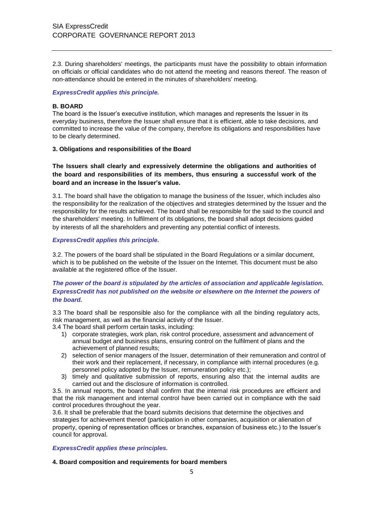2.3. During shareholders' meetings, the participants must have the possibility to obtain information on officials or official candidates who do not attend the meeting and reasons thereof. The reason of non-attendance should be entered in the minutes of shareholders' meeting.

## *ExpressCredit applies this principle.*

## **B. BOARD**

The board is the Issuer's executive institution, which manages and represents the Issuer in its everyday business, therefore the Issuer shall ensure that it is efficient, able to take decisions, and committed to increase the value of the company, therefore its obligations and responsibilities have to be clearly determined.

## **3. Obligations and responsibilities of the Board**

**The Issuers shall clearly and expressively determine the obligations and authorities of the board and responsibilities of its members, thus ensuring a successful work of the board and an increase in the Issuer's value.**

3.1. The board shall have the obligation to manage the business of the Issuer, which includes also the responsibility for the realization of the objectives and strategies determined by the Issuer and the responsibility for the results achieved. The board shall be responsible for the said to the council and the shareholders' meeting. In fulfilment of its obligations, the board shall adopt decisions guided by interests of all the shareholders and preventing any potential conflict of interests.

# *ExpressCredit applies this principle.*

3.2. The powers of the board shall be stipulated in the Board Regulations or a similar document, which is to be published on the website of the Issuer on the Internet. This document must be also available at the registered office of the Issuer.

# *The power of the board is stipulated by the articles of association and applicable legislation. ExpressCredit has not published on the website or elsewhere on the Internet the powers of the board.*

3.3 The board shall be responsible also for the compliance with all the binding regulatory acts, risk management, as well as the financial activity of the Issuer.

3.4 The board shall perform certain tasks, including:

- 1) corporate strategies, work plan, risk control procedure, assessment and advancement of annual budget and business plans, ensuring control on the fulfilment of plans and the achievement of planned results;
- 2) selection of senior managers of the Issuer, determination of their remuneration and control of their work and their replacement, if necessary, in compliance with internal procedures (e.g. personnel policy adopted by the Issuer, remuneration policy etc.);
- 3) timely and qualitative submission of reports, ensuring also that the internal audits are carried out and the disclosure of information is controlled.

3.5. In annual reports, the board shall confirm that the internal risk procedures are efficient and that the risk management and internal control have been carried out in compliance with the said control procedures throughout the year.

3.6. It shall be preferable that the board submits decisions that determine the objectives and strategies for achievement thereof (participation in other companies, acquisition or alienation of property, opening of representation offices or branches, expansion of business etc.) to the Issuer's council for approval.

*ExpressCredit applies these principles.*

#### **4. Board composition and requirements for board members**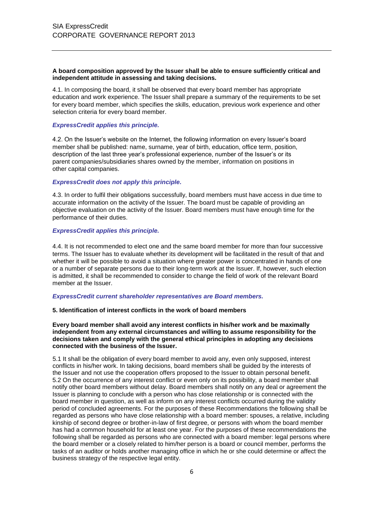#### **A board composition approved by the Issuer shall be able to ensure sufficiently critical and independent attitude in assessing and taking decisions.**

4.1. In composing the board, it shall be observed that every board member has appropriate education and work experience. The Issuer shall prepare a summary of the requirements to be set for every board member, which specifies the skills, education, previous work experience and other selection criteria for every board member.

#### *ExpressCredit applies this principle.*

4.2. On the Issuer's website on the Internet, the following information on every Issuer's board member shall be published: name, surname, year of birth, education, office term, position, description of the last three year's professional experience, number of the Issuer's or its parent companies/subsidiaries shares owned by the member, information on positions in other capital companies.

#### *ExpressCredit does not apply this principle.*

4.3. In order to fulfil their obligations successfully, board members must have access in due time to accurate information on the activity of the Issuer. The board must be capable of providing an objective evaluation on the activity of the Issuer. Board members must have enough time for the performance of their duties.

#### *ExpressCredit applies this principle.*

4.4. It is not recommended to elect one and the same board member for more than four successive terms. The Issuer has to evaluate whether its development will be facilitated in the result of that and whether it will be possible to avoid a situation where greater power is concentrated in hands of one or a number of separate persons due to their long-term work at the Issuer. If, however, such election is admitted, it shall be recommended to consider to change the field of work of the relevant Board member at the Issuer.

#### *ExpressCredit current shareholder representatives are Board members.*

#### **5. Identification of interest conflicts in the work of board members**

#### **Every board member shall avoid any interest conflicts in his/her work and be maximally independent from any external circumstances and willing to assume responsibility for the decisions taken and comply with the general ethical principles in adopting any decisions connected with the business of the Issuer.**

5.1 It shall be the obligation of every board member to avoid any, even only supposed, interest conflicts in his/her work. In taking decisions, board members shall be guided by the interests of the Issuer and not use the cooperation offers proposed to the Issuer to obtain personal benefit. 5.2 On the occurrence of any interest conflict or even only on its possibility, a board member shall notify other board members without delay. Board members shall notify on any deal or agreement the Issuer is planning to conclude with a person who has close relationship or is connected with the board member in question, as well as inform on any interest conflicts occurred during the validity period of concluded agreements. For the purposes of these Recommendations the following shall be regarded as persons who have close relationship with a board member: spouses, a relative, including kinship of second degree or brother-in-law of first degree, or persons with whom the board member has had a common household for at least one year. For the purposes of these recommendations the following shall be regarded as persons who are connected with a board member: legal persons where the board member or a closely related to him/her person is a board or council member, performs the tasks of an auditor or holds another managing office in which he or she could determine or affect the business strategy of the respective legal entity.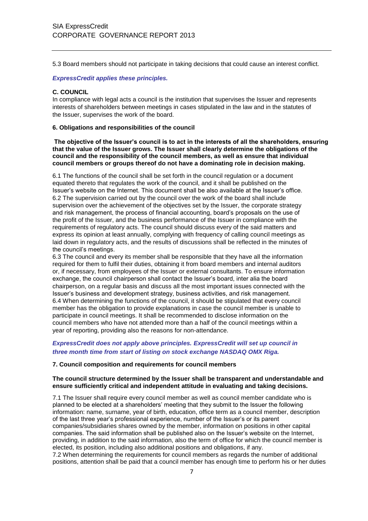5.3 Board members should not participate in taking decisions that could cause an interest conflict.

#### *ExpressCredit applies these principles.*

## **C. COUNCIL**

In compliance with legal acts a council is the institution that supervises the Issuer and represents interests of shareholders between meetings in cases stipulated in the law and in the statutes of the Issuer, supervises the work of the board.

#### **6. Obligations and responsibilities of the council**

**The objective of the Issuer's council is to act in the interests of all the shareholders, ensuring that the value of the Issuer grows. The Issuer shall clearly determine the obligations of the council and the responsibility of the council members, as well as ensure that individual council members or groups thereof do not have a dominating role in decision making.**

6.1 The functions of the council shall be set forth in the council regulation or a document equated thereto that regulates the work of the council, and it shall be published on the Issuer's website on the Internet. This document shall be also available at the Issuer's office. 6.2 The supervision carried out by the council over the work of the board shall include supervision over the achievement of the objectives set by the Issuer, the corporate strategy and risk management, the process of financial accounting, board's proposals on the use of the profit of the Issuer, and the business performance of the Issuer in compliance with the requirements of regulatory acts. The council should discuss every of the said matters and express its opinion at least annually, complying with frequency of calling council meetings as laid down in regulatory acts, and the results of discussions shall be reflected in the minutes of the council's meetings.

6.3 The council and every its member shall be responsible that they have all the information required for them to fulfil their duties, obtaining it from board members and internal auditors or, if necessary, from employees of the Issuer or external consultants. To ensure information exchange, the council chairperson shall contact the Issuer's board, inter alia the board chairperson, on a regular basis and discuss all the most important issues connected with the Issuer's business and development strategy, business activities, and risk management. 6.4 When determining the functions of the council, it should be stipulated that every council member has the obligation to provide explanations in case the council member is unable to participate in council meetings. It shall be recommended to disclose information on the council members who have not attended more than a half of the council meetings within a year of reporting, providing also the reasons for non-attendance.

# *ExpressCredit does not apply above principles. ExpressCredit will set up council in three month time from start of listing on stock exchange NASDAQ OMX Riga.*

#### **7. Council composition and requirements for council members**

## **The council structure determined by the Issuer shall be transparent and understandable and ensure sufficiently critical and independent attitude in evaluating and taking decisions.**

7.1 The Issuer shall require every council member as well as council member candidate who is planned to be elected at a shareholders' meeting that they submit to the Issuer the following information: name, surname, year of birth, education, office term as a council member, description of the last three year's professional experience, number of the Issuer's or its parent companies/subsidiaries shares owned by the member, information on positions in other capital companies. The said information shall be published also on the Issuer's website on the Internet, providing, in addition to the said information, also the term of office for which the council member is elected, its position, including also additional positions and obligations, if any.

7.2 When determining the requirements for council members as regards the number of additional positions, attention shall be paid that a council member has enough time to perform his or her duties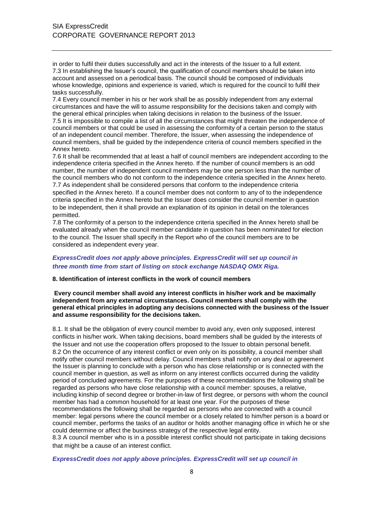in order to fulfil their duties successfully and act in the interests of the Issuer to a full extent. 7.3 In establishing the Issuer's council, the qualification of council members should be taken into account and assessed on a periodical basis. The council should be composed of individuals whose knowledge, opinions and experience is varied, which is required for the council to fulfil their tasks successfully.

7.4 Every council member in his or her work shall be as possibly independent from any external circumstances and have the will to assume responsibility for the decisions taken and comply with the general ethical principles when taking decisions in relation to the business of the Issuer. 7.5 It is impossible to compile a list of all the circumstances that might threaten the independence of council members or that could be used in assessing the conformity of a certain person to the status of an independent council member. Therefore, the Issuer, when assessing the independence of council members, shall be guided by the independence criteria of council members specified in the Annex hereto.

7.6 It shall be recommended that at least a half of council members are independent according to the independence criteria specified in the Annex hereto. If the number of council members is an odd number, the number of independent council members may be one person less than the number of the council members who do not conform to the independence criteria specified in the Annex hereto. 7.7 As independent shall be considered persons that conform to the independence criteria specified in the Annex hereto. If a council member does not conform to any of to the independence criteria specified in the Annex hereto but the Issuer does consider the council member in question to be independent, then it shall provide an explanation of its opinion in detail on the tolerances permitted.

7.8 The conformity of a person to the independence criteria specified in the Annex hereto shall be evaluated already when the council member candidate in question has been nominated for election to the council. The Issuer shall specify in the Report who of the council members are to be considered as independent every year.

# *ExpressCredit does not apply above principles. ExpressCredit will set up council in three month time from start of listing on stock exchange NASDAQ OMX Riga.*

#### **8. Identification of interest conflicts in the work of council members**

**Every council member shall avoid any interest conflicts in his/her work and be maximally independent from any external circumstances. Council members shall comply with the general ethical principles in adopting any decisions connected with the business of the Issuer and assume responsibility for the decisions taken.**

8.1. It shall be the obligation of every council member to avoid any, even only supposed, interest conflicts in his/her work. When taking decisions, board members shall be guided by the interests of the Issuer and not use the cooperation offers proposed to the Issuer to obtain personal benefit. 8.2 On the occurrence of any interest conflict or even only on its possibility, a council member shall notify other council members without delay. Council members shall notify on any deal or agreement the Issuer is planning to conclude with a person who has close relationship or is connected with the council member in question, as well as inform on any interest conflicts occurred during the validity period of concluded agreements. For the purposes of these recommendations the following shall be regarded as persons who have close relationship with a council member: spouses, a relative, including kinship of second degree or brother-in-law of first degree, or persons with whom the council member has had a common household for at least one year. For the purposes of these recommendations the following shall be regarded as persons who are connected with a council member: legal persons where the council member or a closely related to him/her person is a board or council member, performs the tasks of an auditor or holds another managing office in which he or she could determine or affect the business strategy of the respective legal entity. 8.3 A council member who is in a possible interest conflict should not participate in taking decisions

that might be a cause of an interest conflict.

*ExpressCredit does not apply above principles. ExpressCredit will set up council in*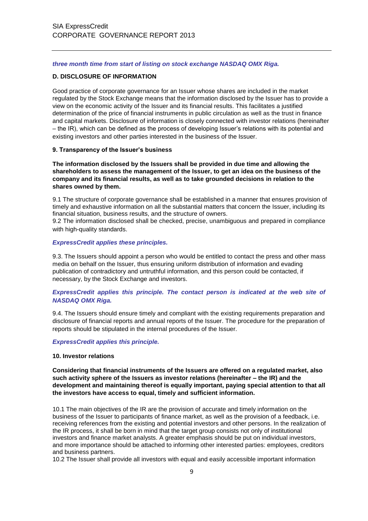#### *three month time from start of listing on stock exchange NASDAQ OMX Riga.*

## **D. DISCLOSURE OF INFORMATION**

Good practice of corporate governance for an Issuer whose shares are included in the market regulated by the Stock Exchange means that the information disclosed by the Issuer has to provide a view on the economic activity of the Issuer and its financial results. This facilitates a justified determination of the price of financial instruments in public circulation as well as the trust in finance and capital markets. Disclosure of information is closely connected with investor relations (hereinafter – the IR), which can be defined as the process of developing Issuer's relations with its potential and existing investors and other parties interested in the business of the Issuer.

## **9. Transparency of the Issuer's business**

**The information disclosed by the Issuers shall be provided in due time and allowing the shareholders to assess the management of the Issuer, to get an idea on the business of the company and its financial results, as well as to take grounded decisions in relation to the shares owned by them.**

9.1 The structure of corporate governance shall be established in a manner that ensures provision of timely and exhaustive information on all the substantial matters that concern the Issuer, including its financial situation, business results, and the structure of owners.

9.2 The information disclosed shall be checked, precise, unambiguous and prepared in compliance with high-quality standards.

#### *ExpressCredit applies these principles.*

9.3. The Issuers should appoint a person who would be entitled to contact the press and other mass media on behalf on the Issuer, thus ensuring uniform distribution of information and evading publication of contradictory and untruthful information, and this person could be contacted, if necessary, by the Stock Exchange and investors.

# *ExpressCredit applies this principle. The contact person is indicated at the web site of NASDAQ OMX Riga.*

9.4. The Issuers should ensure timely and compliant with the existing requirements preparation and disclosure of financial reports and annual reports of the Issuer. The procedure for the preparation of reports should be stipulated in the internal procedures of the Issuer.

#### *ExpressCredit applies this principle.*

#### **10. Investor relations**

**Considering that financial instruments of the Issuers are offered on a regulated market, also such activity sphere of the Issuers as investor relations (hereinafter – the IR) and the development and maintaining thereof is equally important, paying special attention to that all the investors have access to equal, timely and sufficient information.**

10.1 The main objectives of the IR are the provision of accurate and timely information on the business of the Issuer to participants of finance market, as well as the provision of a feedback, i.e. receiving references from the existing and potential investors and other persons. In the realization of the IR process, it shall be born in mind that the target group consists not only of institutional investors and finance market analysts. A greater emphasis should be put on individual investors, and more importance should be attached to informing other interested parties: employees, creditors and business partners.

10.2 The Issuer shall provide all investors with equal and easily accessible important information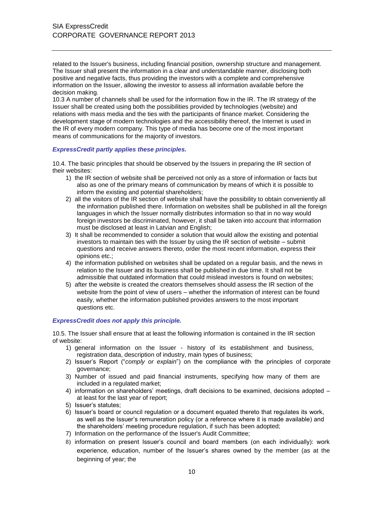related to the Issuer's business, including financial position, ownership structure and management. The Issuer shall present the information in a clear and understandable manner, disclosing both positive and negative facts, thus providing the investors with a complete and comprehensive information on the Issuer, allowing the investor to assess all information available before the decision making.

10.3 A number of channels shall be used for the information flow in the IR. The IR strategy of the Issuer shall be created using both the possibilities provided by technologies (website) and relations with mass media and the ties with the participants of finance market. Considering the development stage of modern technologies and the accessibility thereof, the Internet is used in the IR of every modern company. This type of media has become one of the most important means of communications for the majority of investors.

#### *ExpressCredit partly applies these principles.*

10.4. The basic principles that should be observed by the Issuers in preparing the IR section of their websites:

- 1) the IR section of website shall be perceived not only as a store of information or facts but also as one of the primary means of communication by means of which it is possible to inform the existing and potential shareholders;
- 2) all the visitors of the IR section of website shall have the possibility to obtain conveniently all the information published there. Information on websites shall be published in all the foreign languages in which the Issuer normally distributes information so that in no way would foreign investors be discriminated, however, it shall be taken into account that information must be disclosed at least in Latvian and English;
- 3) It shall be recommended to consider a solution that would allow the existing and potential investors to maintain ties with the Issuer by using the IR section of website – submit questions and receive answers thereto, order the most recent information, express their opinions etc.;
- 4) the information published on websites shall be updated on a regular basis, and the news in relation to the Issuer and its business shall be published in due time. It shall not be admissible that outdated information that could mislead investors is found on websites;
- 5) after the website is created the creators themselves should assess the IR section of the website from the point of view of users – whether the information of interest can be found easily, whether the information published provides answers to the most important questions etc.

#### *ExpressCredit does not apply this principle.*

10.5. The Issuer shall ensure that at least the following information is contained in the IR section of website:

- 1) general information on the Issuer history of its establishment and business, registration data, description of industry, main types of business;
- 2) Issuer's Report ("*comply or explain*") on the compliance with the principles of corporate governance;
- 3) Number of issued and paid financial instruments, specifying how many of them are included in a regulated market;
- 4) information on shareholders' meetings, draft decisions to be examined, decisions adopted at least for the last year of report;
- 5) Issuer's statutes;
- 6) Issuer's board or council regulation or a document equated thereto that regulates its work, as well as the Issuer's remuneration policy (or a reference where it is made available) and the shareholders' meeting procedure regulation, if such has been adopted;
- 7) Information on the performance of the Issuer's Audit Committee;
- 8) information on present Issuer's council and board members (on each individually): work experience, education, number of the Issuer's shares owned by the member (as at the beginning of year; the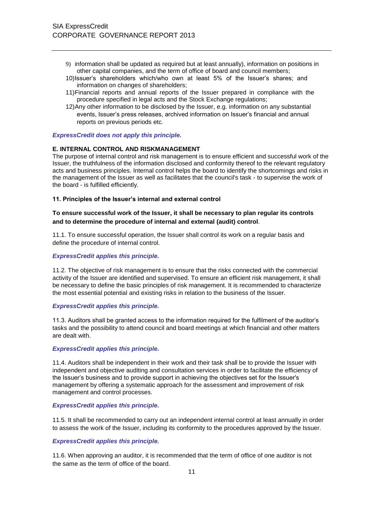- 9) information shall be updated as required but at least annually), information on positions in other capital companies, and the term of office of board and council members;
- 10)Issuer's shareholders which/who own at least 5% of the Issuer's shares; and information on changes of shareholders;
- 11)Financial reports and annual reports of the Issuer prepared in compliance with the procedure specified in legal acts and the Stock Exchange regulations;
- 12)Any other information to be disclosed by the Issuer, e.g. information on any substantial events, Issuer's press releases, archived information on Issuer's financial and annual reports on previous periods etc.

#### *ExpressCredit does not apply this principle.*

#### **E. INTERNAL CONTROL AND RISKMANAGEMENT**

The purpose of internal control and risk management is to ensure efficient and successful work of the Issuer, the truthfulness of the information disclosed and conformity thereof to the relevant regulatory acts and business principles. Internal control helps the board to identify the shortcomings and risks in the management of the Issuer as well as facilitates that the council's task - to supervise the work of the board - is fulfilled efficiently.

#### **11. Principles of the Issuer's internal and external control**

# **To ensure successful work of the Issuer, it shall be necessary to plan regular its controls and to determine the procedure of internal and external (audit) control**.

11.1. To ensure successful operation, the Issuer shall control its work on a regular basis and define the procedure of internal control.

## *ExpressCredit applies this principle.*

11.2. The objective of risk management is to ensure that the risks connected with the commercial activity of the Issuer are identified and supervised. To ensure an efficient risk management, it shall be necessary to define the basic principles of risk management. It is recommended to characterize the most essential potential and existing risks in relation to the business of the Issuer.

#### *ExpressCredit applies this principle.*

11.3. Auditors shall be granted access to the information required for the fulfilment of the auditor's tasks and the possibility to attend council and board meetings at which financial and other matters are dealt with.

#### *ExpressCredit applies this principle.*

11.4. Auditors shall be independent in their work and their task shall be to provide the Issuer with independent and objective auditing and consultation services in order to facilitate the efficiency of the Issuer's business and to provide support in achieving the objectives set for the Issuer's management by offering a systematic approach for the assessment and improvement of risk management and control processes.

#### *ExpressCredit applies this principle.*

11.5. It shall be recommended to carry out an independent internal control at least annually in order to assess the work of the Issuer, including its conformity to the procedures approved by the Issuer.

#### *ExpressCredit applies this principle.*

11.6. When approving an auditor, it is recommended that the term of office of one auditor is not the same as the term of office of the board.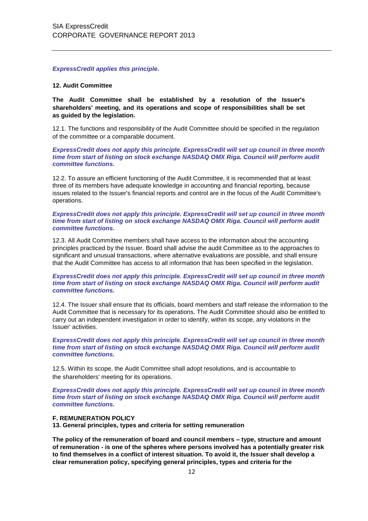*ExpressCredit applies this principle.*

#### **12. Audit Committee**

**The Audit Committee shall be established by a resolution of the Issuer's shareholders' meeting, and its operations and scope of responsibilities shall be set as guided by the legislation.**

12.1. The functions and responsibility of the Audit Committee should be specified in the regulation of the committee or a comparable document.

*ExpressCredit does not apply this principle. ExpressCredit will set up council in three month time from start of listing on stock exchange NASDAQ OMX Riga. Council will perform audit committee functions.*

12.2. To assure an efficient functioning of the Audit Committee, it is recommended that at least three of its members have adequate knowledge in accounting and financial reporting, because issues related to the Issuer's financial reports and control are in the focus of the Audit Committee's operations.

#### *ExpressCredit does not apply this principle. ExpressCredit will set up council in three month time from start of listing on stock exchange NASDAQ OMX Riga. Council will perform audit committee functions.*

12.3. All Audit Committee members shall have access to the information about the accounting principles practiced by the Issuer. Board shall advise the audit Committee as to the approaches to significant and unusual transactions, where alternative evaluations are possible, and shall ensure that the Audit Committee has access to all information that has been specified in the legislation.

#### *ExpressCredit does not apply this principle. ExpressCredit will set up council in three month time from start of listing on stock exchange NASDAQ OMX Riga. Council will perform audit committee functions.*

12.4. The Issuer shall ensure that its officials, board members and staff release the information to the Audit Committee that is necessary for its operations. The Audit Committee should also be entitled to carry out an independent investigation in order to identify, within its scope, any violations in the Issuer' activities.

#### *ExpressCredit does not apply this principle. ExpressCredit will set up council in three month time from start of listing on stock exchange NASDAQ OMX Riga. Council will perform audit committee functions.*

12.5. Within its scope, the Audit Committee shall adopt resolutions, and is accountable to the shareholders' meeting for its operations.

*ExpressCredit does not apply this principle. ExpressCredit will set up council in three month time from start of listing on stock exchange NASDAQ OMX Riga. Council will perform audit committee functions.*

#### **F. REMUNERATION POLICY**

**13. General principles, types and criteria for setting remuneration**

**The policy of the remuneration of board and council members – type, structure and amount of remuneration - is one of the spheres where persons involved has a potentially greater risk to find themselves in a conflict of interest situation. To avoid it, the Issuer shall develop a clear remuneration policy, specifying general principles, types and criteria for the**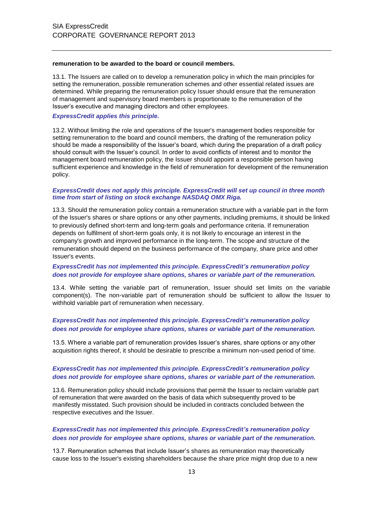#### **remuneration to be awarded to the board or council members.**

13.1. The Issuers are called on to develop a remuneration policy in which the main principles for setting the remuneration, possible remuneration schemes and other essential related issues are determined. While preparing the remuneration policy Issuer should ensure that the remuneration of management and supervisory board members is proportionate to the remuneration of the Issuer's executive and managing directors and other employees.

#### *ExpressCredit applies this principle.*

13.2. Without limiting the role and operations of the Issuer's management bodies responsible for setting remuneration to the board and council members, the drafting of the remuneration policy should be made a responsibility of the Issuer's board, which during the preparation of a draft policy should consult with the Issuer's council. In order to avoid conflicts of interest and to monitor the management board remuneration policy, the Issuer should appoint a responsible person having sufficient experience and knowledge in the field of remuneration for development of the remuneration policy.

#### *ExpressCredit does not apply this principle. ExpressCredit will set up council in three month time from start of listing on stock exchange NASDAQ OMX Riga.*

13.3. Should the remuneration policy contain a remuneration structure with a variable part in the form of the Issuer's shares or share options or any other payments, including premiums, it should be linked to previously defined short-term and long-term goals and performance criteria. If remuneration depends on fulfilment of short-term goals only, it is not likely to encourage an interest in the company's growth and improved performance in the long-term. The scope and structure of the remuneration should depend on the business performance of the company, share price and other Issuer's events.

# *ExpressCredit has not implemented this principle. ExpressCredit's remuneration policy does not provide for employee share options, shares or variable part of the remuneration.*

13.4. While setting the variable part of remuneration, Issuer should set limits on the variable component(s). The non-variable part of remuneration should be sufficient to allow the Issuer to withhold variable part of remuneration when necessary.

# *ExpressCredit has not implemented this principle. ExpressCredit's remuneration policy does not provide for employee share options, shares or variable part of the remuneration.*

13.5. Where a variable part of remuneration provides Issuer's shares, share options or any other acquisition rights thereof, it should be desirable to prescribe a minimum non-used period of time.

# *ExpressCredit has not implemented this principle. ExpressCredit's remuneration policy does not provide for employee share options, shares or variable part of the remuneration.*

13.6. Remuneration policy should include provisions that permit the Issuer to reclaim variable part of remuneration that were awarded on the basis of data which subsequently proved to be manifestly misstated. Such provision should be included in contracts concluded between the respective executives and the Issuer.

# *ExpressCredit has not implemented this principle. ExpressCredit's remuneration policy does not provide for employee share options, shares or variable part of the remuneration.*

13.7. Remuneration schemes that include Issuer's shares as remuneration may theoretically cause loss to the Issuer's existing shareholders because the share price might drop due to a new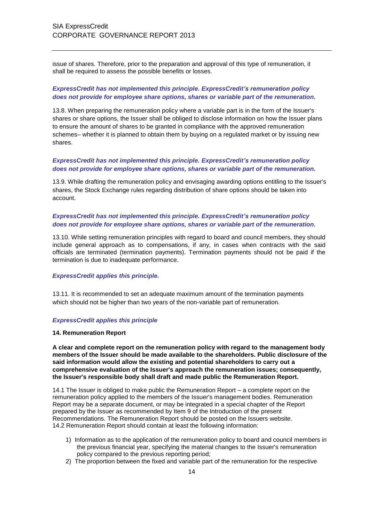issue of shares. Therefore, prior to the preparation and approval of this type of remuneration, it shall be required to assess the possible benefits or losses.

# *ExpressCredit has not implemented this principle. ExpressCredit's remuneration policy does not provide for employee share options, shares or variable part of the remuneration.*

13.8. When preparing the remuneration policy where a variable part is in the form of the Issuer's shares or share options, the Issuer shall be obliged to disclose information on how the Issuer plans to ensure the amount of shares to be granted in compliance with the approved remuneration schemes– whether it is planned to obtain them by buying on a regulated market or by issuing new shares.

# *ExpressCredit has not implemented this principle. ExpressCredit's remuneration policy does not provide for employee share options, shares or variable part of the remuneration.*

13.9. While drafting the remuneration policy and envisaging awarding options entitling to the Issuer's shares, the Stock Exchange rules regarding distribution of share options should be taken into account.

# *ExpressCredit has not implemented this principle. ExpressCredit's remuneration policy does not provide for employee share options, shares or variable part of the remuneration.*

13.10. While setting remuneration principles with regard to board and council members, they should include general approach as to compensations, if any, in cases when contracts with the said officials are terminated (termination payments). Termination payments should not be paid if the termination is due to inadequate performance.

# *ExpressCredit applies this principle.*

13.11. It is recommended to set an adequate maximum amount of the termination payments which should not be higher than two years of the non-variable part of remuneration.

#### *ExpressCredit applies this principle*

#### **14. Remuneration Report**

**A clear and complete report on the remuneration policy with regard to the management body members of the Issuer should be made available to the shareholders. Public disclosure of the said information would allow the existing and potential shareholders to carry out a comprehensive evaluation of the Issuer's approach the remuneration issues; consequently, the Issuer's responsible body shall draft and made public the Remuneration Report.**

14.1 The Issuer is obliged to make public the Remuneration Report – a complete report on the remuneration policy applied to the members of the Issuer's management bodies. Remuneration Report may be a separate document, or may be integrated in a special chapter of the Report prepared by the Issuer as recommended by Item 9 of the Introduction of the present Recommendations. The Remuneration Report should be posted on the Issuers website. 14.2 Remuneration Report should contain at least the following information:

- 1) Information as to the application of the remuneration policy to board and council members in the previous financial year, specifying the material changes to the Issuer's remuneration policy compared to the previous reporting period;
- 2) The proportion between the fixed and variable part of the remuneration for the respective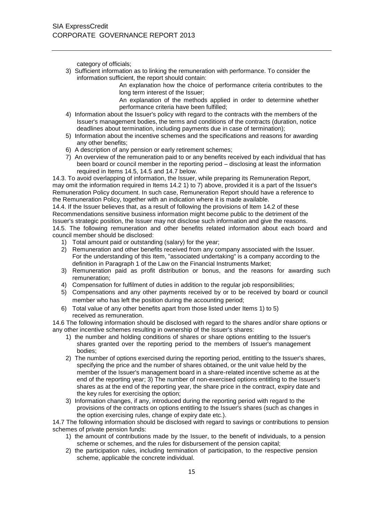category of officials;

3) Sufficient information as to linking the remuneration with performance. To consider the information sufficient, the report should contain:

An explanation how the choice of performance criteria contributes to the long term interest of the Issuer;

An explanation of the methods applied in order to determine whether performance criteria have been fulfilled;

- 4) Information about the Issuer's policy with regard to the contracts with the members of the Issuer's management bodies, the terms and conditions of the contracts (duration, notice deadlines about termination, including payments due in case of termination);
- 5) Information about the incentive schemes and the specifications and reasons for awarding any other benefits;
- 6) A description of any pension or early retirement schemes;
- 7) An overview of the remuneration paid to or any benefits received by each individual that has been board or council member in the reporting period – disclosing at least the information required in Items 14.5, 14.5 and 14.7 below.

14.3. To avoid overlapping of information, the Issuer, while preparing its Remuneration Report, may omit the information required in Items 14.2 1) to 7) above, provided it is a part of the Issuer's Remuneration Policy document. In such case, Remuneration Report should have a reference to the Remuneration Policy, together with an indication where it is made available.

14.4. If the Issuer believes that, as a result of following the provisions of Item 14.2 of these Recommendations sensitive business information might become public to the detriment of the Issuer's strategic position, the Issuer may not disclose such information and give the reasons. 14.5. The following remuneration and other benefits related information about each board and council member should be disclosed:

- 1) Total amount paid or outstanding (salary) for the year;
- 2) Remuneration and other benefits received from any company associated with the Issuer. For the understanding of this Item, "associated undertaking" is a company according to the definition in Paragraph 1 of the Law on the Financial Instruments Market;
- 3) Remuneration paid as profit distribution or bonus, and the reasons for awarding such remuneration;
- 4) Compensation for fulfilment of duties in addition to the regular job responsibilities;
- 5) Compensations and any other payments received by or to be received by board or council member who has left the position during the accounting period;
- 6) Total value of any other benefits apart from those listed under Items 1) to 5) received as remuneration.

14.6 The following information should be disclosed with regard to the shares and/or share options or any other incentive schemes resulting in ownership of the Issuer's shares:

- 1) the number and holding conditions of shares or share options entitling to the Issuer's shares granted over the reporting period to the members of Issuer's management bodies;
- 2) The number of options exercised during the reporting period, entitling to the Issuer's shares, specifying the price and the number of shares obtained, or the unit value held by the member of the Issuer's management board in a share-related incentive scheme as at the end of the reporting year; 3) The number of non-exercised options entitling to the Issuer's shares as at the end of the reporting year, the share price in the contract, expiry date and the key rules for exercising the option;
- 3) Information changes, if any, introduced during the reporting period with regard to the provisions of the contracts on options entitling to the Issuer's shares (such as changes in the option exercising rules, change of expiry date etc.).

14.7 The following information should be disclosed with regard to savings or contributions to pension schemes of private pension funds:

- 1) the amount of contributions made by the Issuer, to the benefit of individuals, to a pension scheme or schemes, and the rules for disbursement of the pension capital;
- 2) the participation rules, including termination of participation, to the respective pension scheme, applicable the concrete individual.